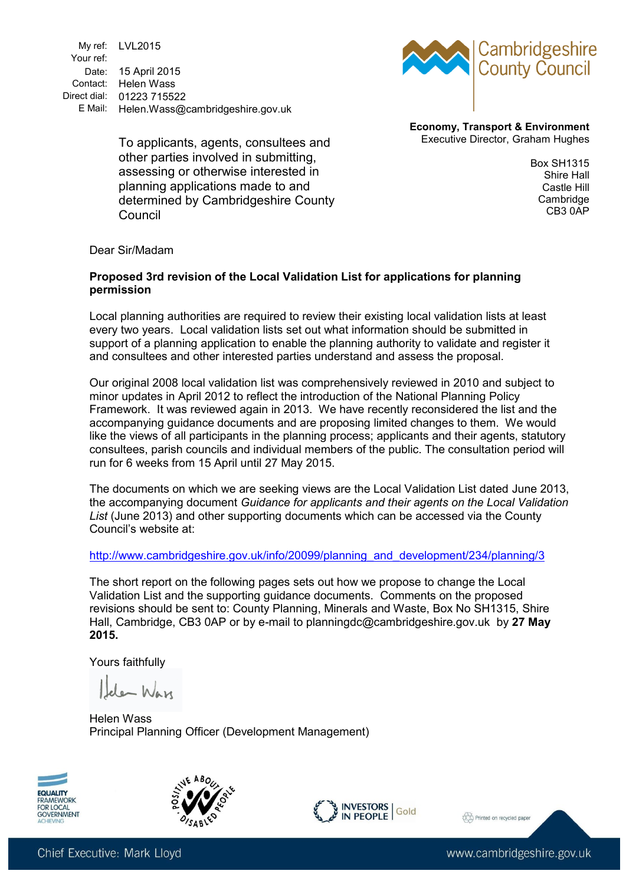My ref: LVL2015 Your ref: Date: 15 April 2015 Contact: Helen Wass Direct dial: 01223 715522 E Mail: Helen.Wass@cambridgeshire.gov.uk



**Economy, Transport & Environment** Executive Director, Graham Hughes

To applicants, agents, consultees and other parties involved in submitting, assessing or otherwise interested in planning applications made to and determined by Cambridgeshire County Council

Box SH1315 Shire Hall Castle Hill Cambridge CB3 0AP

Dear Sir/Madam

#### **Proposed 3rd revision of the Local Validation List for applications for planning permission**

Local planning authorities are required to review their existing local validation lists at least every two years. Local validation lists set out what information should be submitted in support of a planning application to enable the planning authority to validate and register it and consultees and other interested parties understand and assess the proposal.

Our original 2008 local validation list was comprehensively reviewed in 2010 and subject to minor updates in April 2012 to reflect the introduction of the National Planning Policy Framework. It was reviewed again in 2013. We have recently reconsidered the list and the accompanying guidance documents and are proposing limited changes to them. We would like the views of all participants in the planning process; applicants and their agents, statutory consultees, parish councils and individual members of the public. The consultation period will run for 6 weeks from 15 April until 27 May 2015.

The documents on which we are seeking views are the Local Validation List dated June 2013, the accompanying document *Guidance for applicants and their agents on the Local Validation List* (June 2013) and other supporting documents which can be accessed via the County Council's website at:

[http://www.cambridgeshire.gov.uk/info/20099/planning\\_and\\_development/234/planning/3](http://www.cambridgeshire.gov.uk/info/20099/planning_and_development/234/planning/3)

The short report on the following pages sets out how we propose to change the Local Validation List and the supporting guidance documents. Comments on the proposed revisions should be sent to: County Planning, Minerals and Waste, Box No SH1315, Shire Hall, Cambridge, CB3 0AP or by e-mail to planningdc@cambridgeshire.gov.uk by **27 May 2015.**

Yours faithfully

de War

Helen Wass Principal Planning Officer (Development Management)







2 Printed on recycled paper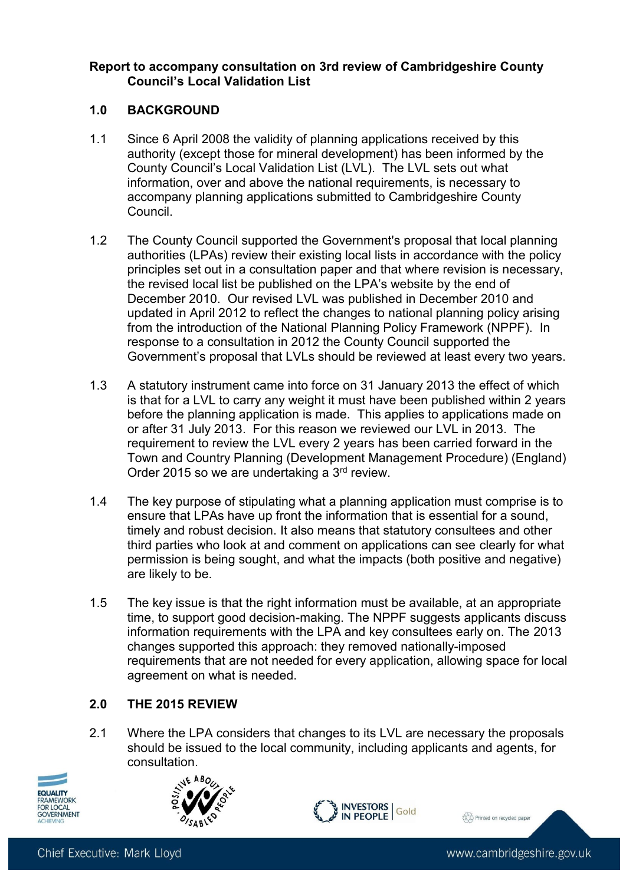## **Report to accompany consultation on 3rd review of Cambridgeshire County Council's Local Validation List**

## **1.0 BACKGROUND**

- 1.1 Since 6 April 2008 the validity of planning applications received by this authority (except those for mineral development) has been informed by the County Council's Local Validation List (LVL). The LVL sets out what information, over and above the national requirements, is necessary to accompany planning applications submitted to Cambridgeshire County Council.
- 1.2 The County Council supported the Government's proposal that local planning authorities (LPAs) review their existing local lists in accordance with the policy principles set out in a consultation paper and that where revision is necessary, the revised local list be published on the LPA's website by the end of December 2010. Our revised LVL was published in December 2010 and updated in April 2012 to reflect the changes to national planning policy arising from the introduction of the National Planning Policy Framework (NPPF). In response to a consultation in 2012 the County Council supported the Government's proposal that LVLs should be reviewed at least every two years.
- 1.3 A statutory instrument came into force on 31 January 2013 the effect of which is that for a LVL to carry any weight it must have been published within 2 years before the planning application is made. This applies to applications made on or after 31 July 2013. For this reason we reviewed our LVL in 2013. The requirement to review the LVL every 2 years has been carried forward in the Town and Country Planning (Development Management Procedure) (England) Order 2015 so we are undertaking a 3rd review.
- 1.4 The key purpose of stipulating what a planning application must comprise is to ensure that LPAs have up front the information that is essential for a sound, timely and robust decision. It also means that statutory consultees and other third parties who look at and comment on applications can see clearly for what permission is being sought, and what the impacts (both positive and negative) are likely to be.
- 1.5 The key issue is that the right information must be available, at an appropriate time, to support good decision-making. The NPPF suggests applicants discuss information requirements with the LPA and key consultees early on. The 2013 changes supported this approach: they removed nationally-imposed requirements that are not needed for every application, allowing space for local agreement on what is needed.

# **2.0 THE 2015 REVIEW**

2.1 Where the LPA considers that changes to its LVL are necessary the proposals should be issued to the local community, including applicants and agents, for consultation.







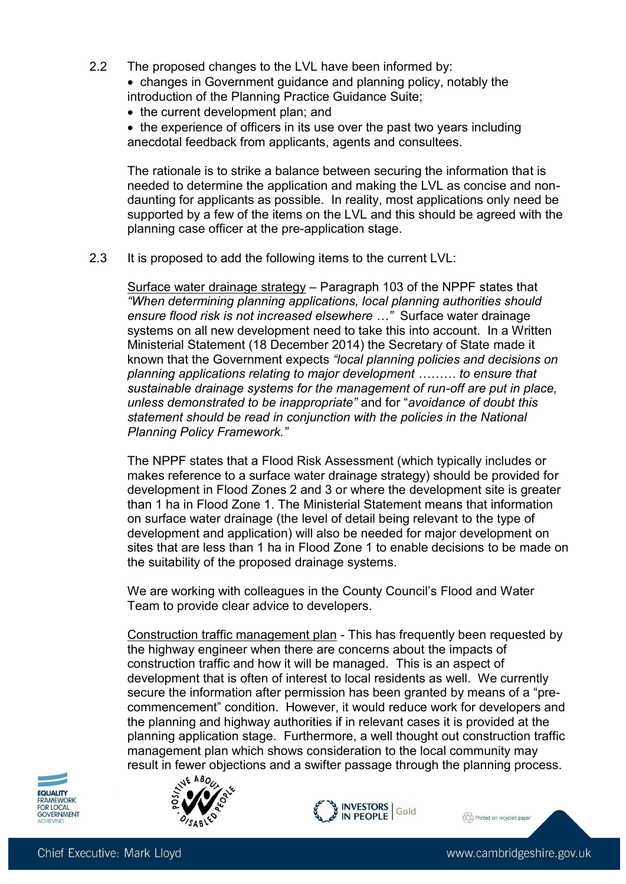- 2.2 The proposed changes to the LVL have been informed by:
	- changes in Government guidance and planning policy, notably the introduction of the Planning Practice Guidance Suite;
	- the current development plan; and
	- the experience of officers in its use over the past two years including anecdotal feedback from applicants, agents and consultees.

The rationale is to strike a balance between securing the information that is needed to determine the application and making the LVL as concise and nondaunting for applicants as possible. In reality, most applications only need be supported by a few of the items on the LVL and this should be agreed with the planning case officer at the pre-application stage.

2.3 It is proposed to add the following items to the current LVL:

Surface water drainage strategy – Paragraph 103 of the NPPF states that *"When determining planning applications, local planning authorities should ensure flood risk is not increased elsewhere …"* Surface water drainage systems on all new development need to take this into account. In a Written Ministerial Statement (18 December 2014) the Secretary of State made it known that the Government expects *"local planning policies and decisions on planning applications relating to major development ……… to ensure that sustainable drainage systems for the management of run-off are put in place, unless demonstrated to be inappropriate"* and for "*avoidance of doubt this statement should be read in conjunction with the policies in the National Planning Policy Framework."*

The NPPF states that a Flood Risk Assessment (which typically includes or makes reference to a surface water drainage strategy) should be provided for development in Flood Zones 2 and 3 or where the development site is greater than 1 ha in Flood Zone 1. The Ministerial Statement means that information on surface water drainage (the level of detail being relevant to the type of development and application) will also be needed for major development on sites that are less than 1 ha in Flood Zone 1 to enable decisions to be made on the suitability of the proposed drainage systems.

We are working with colleagues in the County Council's Flood and Water Team to provide clear advice to developers.

Construction traffic management plan - This has frequently been requested by the highway engineer when there are concerns about the impacts of construction traffic and how it will be managed. This is an aspect of development that is often of interest to local residents as well. We currently secure the information after permission has been granted by means of a "precommencement" condition. However, it would reduce work for developers and the planning and highway authorities if in relevant cases it is provided at the planning application stage. Furthermore, a well thought out construction traffic management plan which shows consideration to the local community may result in fewer objections and a swifter passage through the planning process.